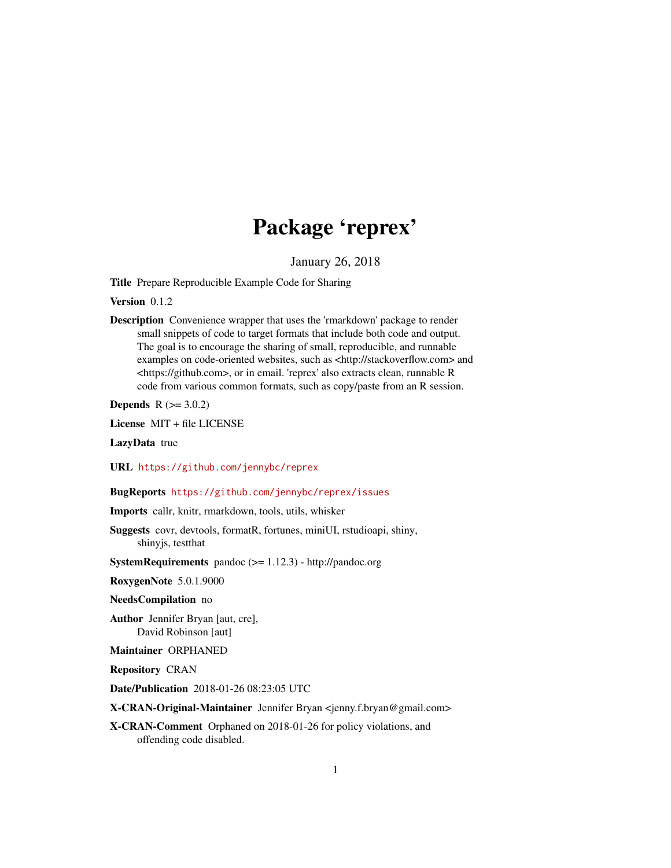## Package 'reprex'

January 26, 2018

<span id="page-0-0"></span>Title Prepare Reproducible Example Code for Sharing

Version 0.1.2

Description Convenience wrapper that uses the 'rmarkdown' package to render small snippets of code to target formats that include both code and output. The goal is to encourage the sharing of small, reproducible, and runnable examples on code-oriented websites, such as <http://stackoverflow.com> and <https://github.com>, or in email. 'reprex' also extracts clean, runnable R code from various common formats, such as copy/paste from an R session.

**Depends**  $R$  ( $> = 3.0.2$ )

License MIT + file LICENSE

LazyData true

URL <https://github.com/jennybc/reprex>

BugReports <https://github.com/jennybc/reprex/issues>

Imports callr, knitr, rmarkdown, tools, utils, whisker

- Suggests covr, devtools, formatR, fortunes, miniUI, rstudioapi, shiny, shinyjs, testthat
- SystemRequirements pandoc (>= 1.12.3) http://pandoc.org

RoxygenNote 5.0.1.9000

NeedsCompilation no

Author Jennifer Bryan [aut, cre], David Robinson [aut]

Maintainer ORPHANED

Repository CRAN

Date/Publication 2018-01-26 08:23:05 UTC

X-CRAN-Original-Maintainer Jennifer Bryan <jenny.f.bryan@gmail.com>

X-CRAN-Comment Orphaned on 2018-01-26 for policy violations, and offending code disabled.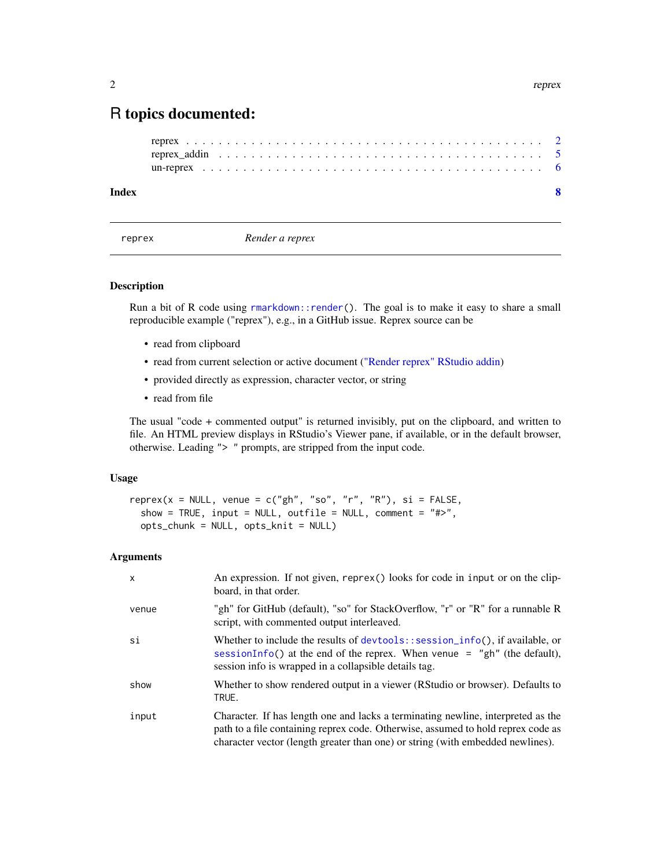### <span id="page-1-0"></span>R topics documented:

```
reprex . . . . . . . . . . . . . . . . . . . . . . . . . . . . . . . . . . . . . . . . . . . . 2
reprex_addin . . . . . . . . . . . . . . . . . . . . . . . . . . . . . . . . . . . . . . . . 5
un-reprex . . . . . . . . . . . . . . . . . . . . . . . . . . . . . . . . . . . . . . . . . . 6
```
#### **Index** [8](#page-7-0) **8**

<span id="page-1-1"></span>

reprex *Render a reprex*

#### Description

Run a bit of R code using [rmarkdown::render\(](#page-0-0)). The goal is to make it easy to share a small reproducible example ("reprex"), e.g., in a GitHub issue. Reprex source can be

- read from clipboard
- read from current selection or active document [\("Render reprex" RStudio addin\)](#page-4-1)
- provided directly as expression, character vector, or string
- read from file

The usual "code + commented output" is returned invisibly, put on the clipboard, and written to file. An HTML preview displays in RStudio's Viewer pane, if available, or in the default browser, otherwise. Leading "> " prompts, are stripped from the input code.

#### Usage

```
reprex(x = NULL, venue = c("gh", "so", "r", "R"), si = FALSE,
  show = TRUE, input = NULL, outfile = NULL, comment = "#>",
  opts_{\text{c}}chunk = NULL, opts_knit = NULL)
```
#### Arguments

| X     | An expression. If not given, reprex() looks for code in input or on the clip-<br>board, in that order.                                                                                                                                                 |
|-------|--------------------------------------------------------------------------------------------------------------------------------------------------------------------------------------------------------------------------------------------------------|
| venue | "gh" for GitHub (default), "so" for StackOverflow, "r" or "R" for a runnable R<br>script, with commented output interleaved.                                                                                                                           |
| si    | Whether to include the results of devtools: : session_info(), if available, or<br>sessionInfo() at the end of the reprex. When venue $=$ "gh" (the default),<br>session info is wrapped in a collapsible details tag.                                  |
| show  | Whether to show rendered output in a viewer (RStudio or browser). Defaults to<br>TRUE.                                                                                                                                                                 |
| input | Character. If has length one and lacks a terminating newline, interpreted as the<br>path to a file containing reprex code. Otherwise, assumed to hold reprex code as<br>character vector (length greater than one) or string (with embedded newlines). |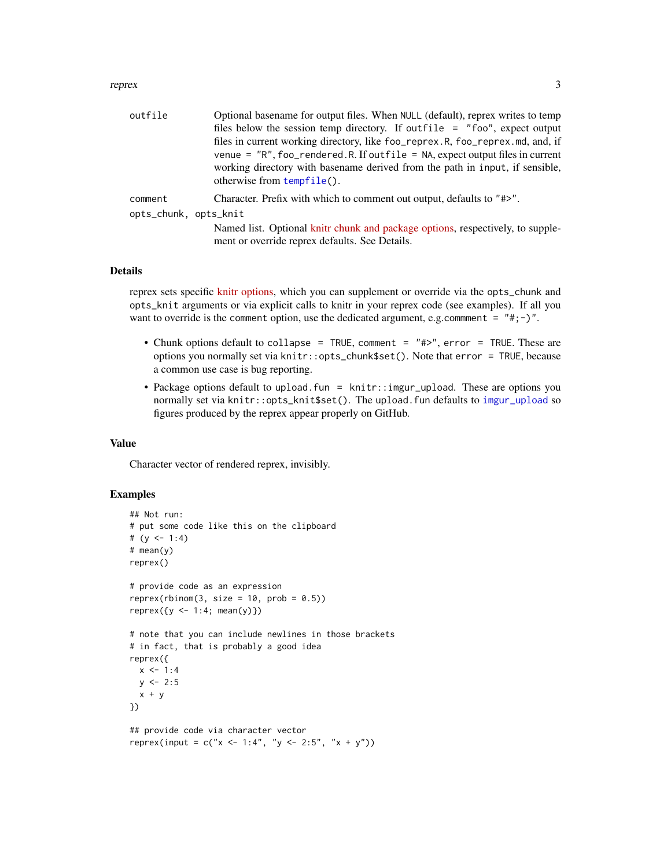#### <span id="page-2-0"></span>reprex 3

| outfile               | Optional basename for output files. When NULL (default), reprex writes to temp                                                   |
|-----------------------|----------------------------------------------------------------------------------------------------------------------------------|
|                       | files below the session temp directory. If outfile = "foo", expect output                                                        |
|                       | files in current working directory, like foo_reprex.R, foo_reprex.md, and, if                                                    |
|                       | venue = "R", foo_rendered.R. If outfile = NA, expect output files in current                                                     |
|                       | working directory with basename derived from the path in input, if sensible,                                                     |
|                       | otherwise from tempfile().                                                                                                       |
| comment               | Character. Prefix with which to comment out output, defaults to "#>".                                                            |
| opts_chunk, opts_knit |                                                                                                                                  |
|                       | Named list. Optional knitr chunk and package options, respectively, to supple-<br>ment or override reprex defaults. See Details. |
|                       |                                                                                                                                  |

#### Details

reprex sets specific [knitr options,](http://yihui.name/knitr/options/) which you can supplement or override via the opts\_chunk and opts\_knit arguments or via explicit calls to knitr in your reprex code (see examples). If all you want to override is the comment option, use the dedicated argument, e.g.communent =  $"#; -$ )".

- Chunk options default to collapse = TRUE, comment = "#>", error = TRUE. These are options you normally set via knitr::opts\_chunk\$set(). Note that error = TRUE, because a common use case is bug reporting.
- Package options default to upload.fun = knitr::imgur\_upload. These are options you normally set via knitr::opts\_knit\$set(). The upload.fun defaults to [imgur\\_upload](#page-0-0) so figures produced by the reprex appear properly on GitHub.

#### Value

Character vector of rendered reprex, invisibly.

#### Examples

```
## Not run:
# put some code like this on the clipboard
# (y \le -1:4)# mean(y)
reprex()
# provide code as an expression
reprex(rbinom(3, size = 10, prob = 0.5))
reprev({y \le -1:4; mean(y)})# note that you can include newlines in those brackets
# in fact, that is probably a good idea
reprex({
 x < -1:4y \le -2:5x + y})
## provide code via character vector
reprex(input = c("x <- 1:4", "y <- 2:5", "x + y"))
```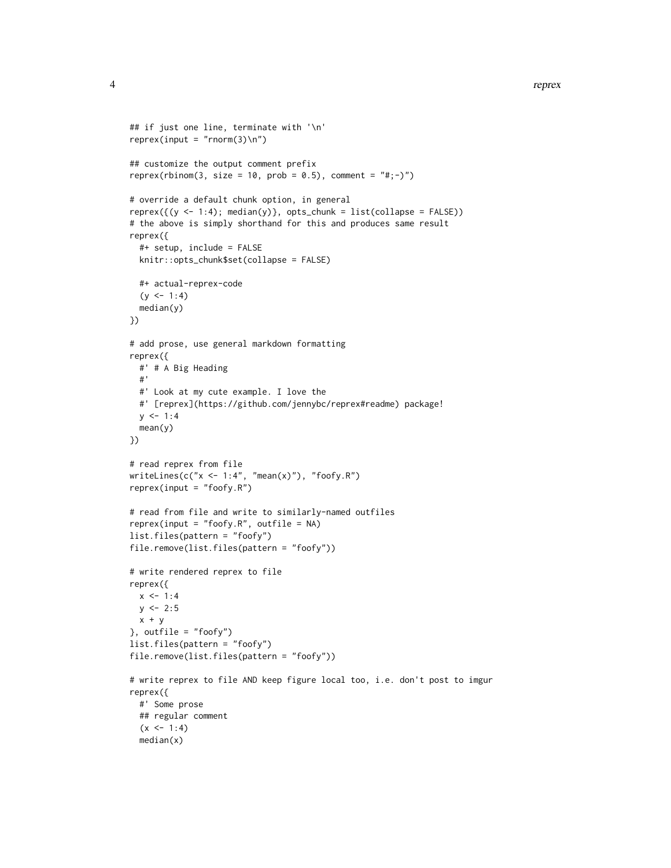```
## if just one line, terminate with '\n'
reprev(input = "rnorm(3) \n'})## customize the output comment prefix
reprex(rbinom(3, size = 10, prob = 0.5), comment = "#; -)")
# override a default chunk option, in general
represent((y < -1:4); median(y)), opts_{chunk} = list(collapse = FALSE))# the above is simply shorthand for this and produces same result
reprex({
  #+ setup, include = FALSE
  knitr::opts_chunk$set(collapse = FALSE)
  #+ actual-reprex-code
  (y \le -1:4)median(y)
})
# add prose, use general markdown formatting
reprex({
  #' # A Big Heading
  #'
  #' Look at my cute example. I love the
  #' [reprex](https://github.com/jennybc/reprex#readme) package!
  y \le -1:4mean(y)
})
# read reprex from file
writeLines(c("x < -1:4", "mean(x)"), "foofy.R")reprex(input = "foofy.R")
# read from file and write to similarly-named outfiles
reprev(input = "footy.R", outfile = NA)list.files(pattern = "foofy")
file.remove(list.files(pattern = "foofy"))
# write rendered reprex to file
reprex({
  x < -1:4y \le -2:5x + y}, outfile = "foofy")
list.files(pattern = "foofy")
file.remove(list.files(pattern = "foofy"))
# write reprex to file AND keep figure local too, i.e. don't post to imgur
reprex({
  #' Some prose
  ## regular comment
  (x < -1:4)median(x)
```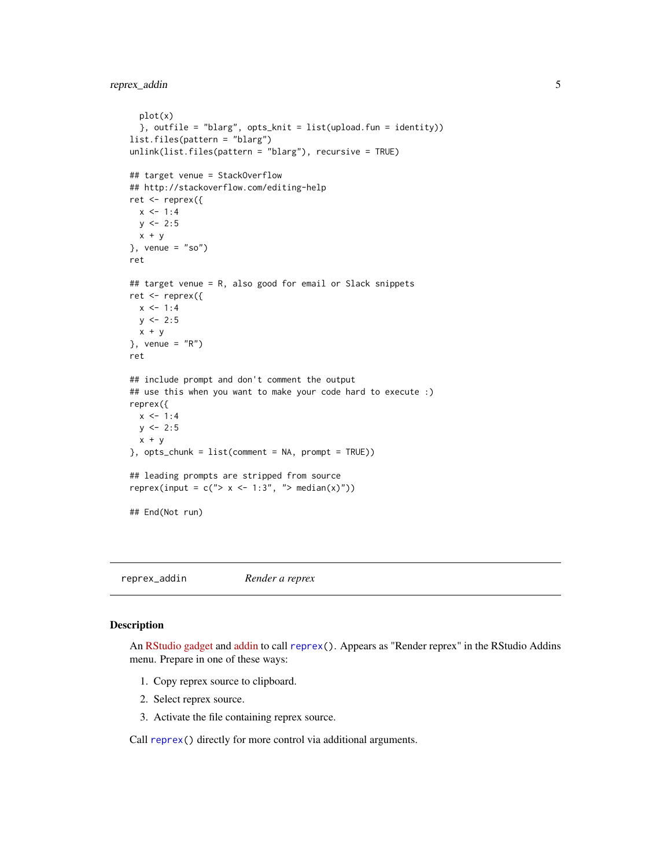<span id="page-4-0"></span>reprex\_addin 5

```
plot(x)
  }, outfile = "blarg", opts_knit = list(upload.fun = identity))
list.files(pattern = "blarg")
unlink(list.files(pattern = "blarg"), recursive = TRUE)
## target venue = StackOverflow
## http://stackoverflow.com/editing-help
ret <- reprex({
  x < -1:4y \le -2:5x + y}, venue = "so")
ret
## target venue = R, also good for email or Slack snippets
ret <- reprex({
 x \le -1:4y \le -2:5x + y}, venue = "R")
ret
## include prompt and don't comment the output
## use this when you want to make your code hard to execute :)
reprex({
  x \le -1:4y \le -2:5x + y}, opts_chunk = list(comment = NA, prompt = TRUE))
## leading prompts are stripped from source
reprex(input = c("> x < -1:3", "> median(x)"))
## End(Not run)
```
<span id="page-4-1"></span>reprex\_addin *Render a reprex*

#### Description

An [RStudio gadget](https://shiny.rstudio.com/articles/gadgets.html) and [addin](http://rstudio.github.io/rstudioaddins/) to call [reprex\(](#page-1-1)). Appears as "Render reprex" in the RStudio Addins menu. Prepare in one of these ways:

- 1. Copy reprex source to clipboard.
- 2. Select reprex source.
- 3. Activate the file containing reprex source.

Call [reprex\(](#page-1-1)) directly for more control via additional arguments.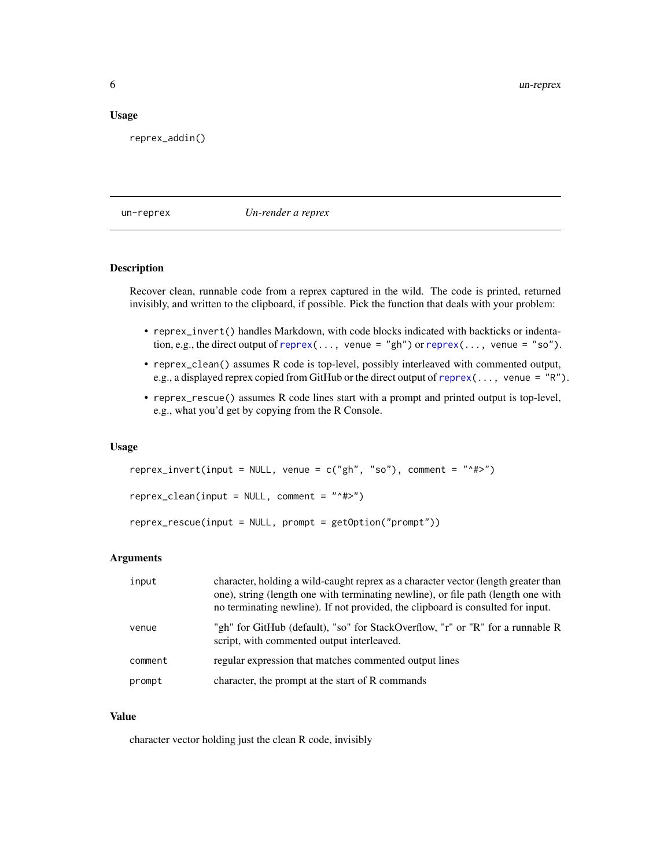#### <span id="page-5-0"></span>Usage

reprex\_addin()

un-reprex *Un-render a reprex*

#### Description

Recover clean, runnable code from a reprex captured in the wild. The code is printed, returned invisibly, and written to the clipboard, if possible. Pick the function that deals with your problem:

- reprex\_invert() handles Markdown, with code blocks indicated with backticks or indentation, e.g., the direct output of [reprex\(](#page-1-1)..., venue = "gh") or reprex(..., venue = "so").
- reprex\_clean() assumes R code is top-level, possibly interleaved with commented output, e.g., a displayed reprex copied from GitHub or the direct output of [reprex\(](#page-1-1)..., venue = "R").
- reprex\_rescue() assumes R code lines start with a prompt and printed output is top-level, e.g., what you'd get by copying from the R Console.

#### Usage

```
represent r = 0 r = 0 r = 0 r = 1 r = 1 r = 1 r = 1 r = 1 r = 0 r = 0 r = 0 r = 0 r = 0 r = 0 r = 0 r = 0 r = 0 r = 0 r = 0 r = 0 r = 0 r = 0 r = 0 r = 0 r = 0 r = 0 r = 0 r = 0 r = 0 r = 0 r = 0 
reprex_clean(input = NULL, comment = "^#>")
reprex_rescue(input = NULL, prompt = getOption("prompt"))
```
#### Arguments

| input   | character, holding a wild-caught reprex as a character vector (length greater than<br>one), string (length one with terminating newline), or file path (length one with<br>no terminating newline). If not provided, the clipboard is consulted for input. |
|---------|------------------------------------------------------------------------------------------------------------------------------------------------------------------------------------------------------------------------------------------------------------|
| venue   | "gh" for GitHub (default), "so" for StackOverflow, "r" or "R" for a runnable R<br>script, with commented output interleaved.                                                                                                                               |
| comment | regular expression that matches commented output lines                                                                                                                                                                                                     |
| prompt  | character, the prompt at the start of R commands                                                                                                                                                                                                           |

#### Value

character vector holding just the clean R code, invisibly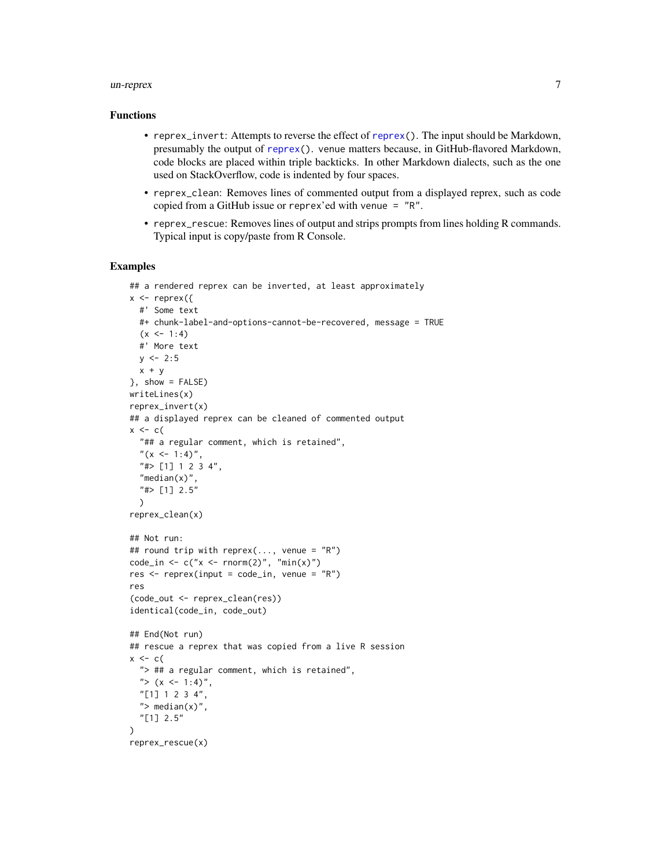#### <span id="page-6-0"></span>un-reprex 7

#### Functions

- reprex\_invert: Attempts to reverse the effect of [reprex\(](#page-1-1)). The input should be Markdown, presumably the output of [reprex\(](#page-1-1)). venue matters because, in GitHub-flavored Markdown, code blocks are placed within triple backticks. In other Markdown dialects, such as the one used on StackOverflow, code is indented by four spaces.
- reprex\_clean: Removes lines of commented output from a displayed reprex, such as code copied from a GitHub issue or reprex'ed with venue = "R".
- reprex\_rescue: Removes lines of output and strips prompts from lines holding R commands. Typical input is copy/paste from R Console.

#### Examples

```
## a rendered reprex can be inverted, at least approximately
x \leq - reprex({
  #' Some text
  #+ chunk-label-and-options-cannot-be-recovered, message = TRUE
  (x < -1:4)#' More text
  y \le -2:5x + y}, show = FALSE)
writeLines(x)
reprex_invert(x)
## a displayed reprex can be cleaned of commented output
x \leq -c(
  "## a regular comment, which is retained",
  "(x <- 1:4)",
  "#> [1] 1 2 3 4",
  "median(x)",
  "#> [1] 2.5"
  \lambdareprex_clean(x)
## Not run:
## round trip with reprex(..., venue = "R")
code_in \leftarrow c("x \leftarrow rnorm(2)", "min(x)")
res \leq reprex(input = code_in, venue = "R")
res
(code_out <- reprex_clean(res))
identical(code_in, code_out)
## End(Not run)
## rescue a reprex that was copied from a live R session
x \leftarrow c"> ## a regular comment, which is retained",
  "> (x \le -1:4)",
  "[1] 1 2 3 4",
  "> median(x)",
  "[1] 2.5"
\lambdareprex_rescue(x)
```